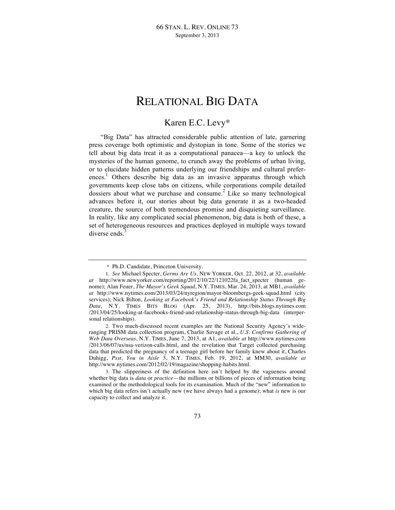# RELATIONAL BIG DATA

## Karen E.C. Levy\*

"Big Data" has attracted considerable public attention of late, garnering press coverage both optimistic and dystopian in tone. Some of the stories we tell about big data treat it as a computational panacea—a key to unlock the mysteries of the human genome, to crunch away the problems of urban living, or to elucidate hidden patterns underlying our friendships and cultural preferences. <sup>1</sup> Others describe big data as an invasive apparatus through which governments keep close tabs on citizens, while corporations compile detailed dossiers about what we purchase and consume.<sup>2</sup> Like so many technological advances before it, our stories about big data generate it as a two-headed creature, the source of both tremendous promise and disquieting surveillance. In reality, like any complicated social phenomenon, big data is both of these, a set of heterogeneous resources and practices deployed in multiple ways toward diverse ends.<sup>3</sup>

<sup>\*</sup> Ph.D. Candidate, Princeton University.

<sup>1.</sup> *See* Michael Specter, *Germs Are Us*, NEW YORKER, Oct. 22, 2012, at 32, *available at* http://www.newyorker.com/reporting/2012/10/22/121022fa\_fact\_specter (human genome); Alan Feuer, *The Mayor's Geek Squad*, N.Y. TIMES, Mar. 24, 2013, at MB1, *available at* http://www.nytimes.com/2013/03/24/nyregion/mayor-bloombergs-geek-squad.html (city services); Nick Bilton, *Looking at Facebook's Friend and Relationship Status Through Big Data*, N.Y. TIMES BITS BLOG (Apr. 25, 2013), http://bits.blogs.nytimes.com /2013/04/25/looking-at-facebooks-friend-and-relationship-status-through-big-data (interpersonal relationships).

<sup>2.</sup> Two much-discussed recent examples are the National Security Agency's wideranging PRISM data collection program, Charlie Savage et al., *U.S. Confirms Gathering of Web Data Overseas*, N.Y. TIMES, June 7, 2013, at A1, *available at* http://www.nytimes.com /2013/06/07/us/nsa-verizon-calls.html, and the revelation that Target collected purchasing data that predicted the pregnancy of a teenage girl before her family knew about it, Charles Duhigg, *Psst, You in Aisle 5*, N.Y. TIMES, Feb. 19, 2012, at MM30, *available at*  http://www.nytimes.com/2012/02/19/magazine/shopping-habits.html.

<sup>3.</sup> The slipperiness of the definition here isn't helped by the vagueness around whether big data is *data* or *practice*—the millions or billions of pieces of information being examined or the methodological tools for its examination. Much of the "new" information to which big data refers isn't actually new (we have always had a genome); what *is* new is our capacity to collect and analyze it.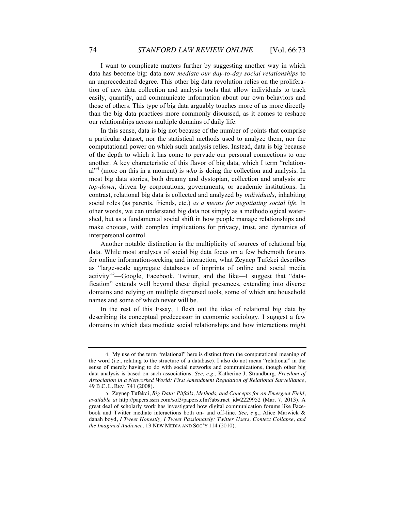I want to complicate matters further by suggesting another way in which data has become big: data now *mediate our day-to-day social relationships* to an unprecedented degree. This other big data revolution relies on the proliferation of new data collection and analysis tools that allow individuals to track easily, quantify, and communicate information about our own behaviors and those of others. This type of big data arguably touches more of us more directly than the big data practices more commonly discussed, as it comes to reshape our relationships across multiple domains of daily life.

In this sense, data is big not because of the number of points that comprise a particular dataset, nor the statistical methods used to analyze them, nor the computational power on which such analysis relies. Instead, data is big because of the depth to which it has come to pervade our personal connections to one another. A key characteristic of this flavor of big data, which I term "relational<sup>-4</sup> (more on this in a moment) is *who* is doing the collection and analysis. In most big data stories, both dreamy and dystopian, collection and analysis are *top-down*, driven by corporations, governments, or academic institutions. In contrast, relational big data is collected and analyzed by *individuals*, inhabiting social roles (as parents, friends, etc.) *as a means for negotiating social life*. In other words, we can understand big data not simply as a methodological watershed, but as a fundamental social shift in how people manage relationships and make choices, with complex implications for privacy, trust, and dynamics of interpersonal control.

Another notable distinction is the multiplicity of sources of relational big data. While most analyses of social big data focus on a few behemoth forums for online information-seeking and interaction, what Zeynep Tufekci describes as "large-scale aggregate databases of imprints of online and social media activity"<sup>5</sup>—Google, Facebook, Twitter, and the like—I suggest that "datafication" extends well beyond these digital presences, extending into diverse domains and relying on multiple dispersed tools, some of which are household names and some of which never will be.

In the rest of this Essay, I flesh out the idea of relational big data by describing its conceptual predecessor in economic sociology. I suggest a few domains in which data mediate social relationships and how interactions might

<sup>4.</sup> My use of the term "relational" here is distinct from the computational meaning of the word (i.e., relating to the structure of a database). I also do not mean "relational" in the sense of merely having to do with social networks and communications, though other big data analysis is based on such associations. *See, e.g.*, Katherine J. Strandburg, *Freedom of Association in a Networked World: First Amendment Regulation of Relational Surveillance*, 49 B.C. L. REV. 741 (2008).

<sup>5.</sup> Zeynep Tufekci, *Big Data: Pitfalls, Methods, and Concepts for an Emergent Field*, *available at* http://papers.ssrn.com/sol3/papers.cfm?abstract\_id=2229952 (Mar. 7, 2013). A great deal of scholarly work has investigated how digital communication forums like Facebook and Twitter mediate interactions both on- and off-line. *See, e.g.*, Alice Marwick & danah boyd, *I Tweet Honestly, I Tweet Passionately: Twitter Users, Context Collapse, and the Imagined Audience*, 13 NEW MEDIA AND SOC'Y 114 (2010).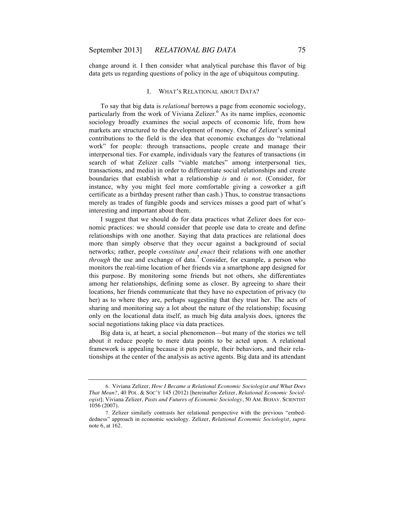change around it. I then consider what analytical purchase this flavor of big data gets us regarding questions of policy in the age of ubiquitous computing.

#### I. WHAT'S RELATIONAL ABOUT DATA?

To say that big data is *relational* borrows a page from economic sociology, particularly from the work of Viviana Zelizer. $6$  As its name implies, economic sociology broadly examines the social aspects of economic life, from how markets are structured to the development of money. One of Zelizer's seminal contributions to the field is the idea that economic exchanges do "relational work" for people: through transactions, people create and manage their interpersonal ties. For example, individuals vary the features of transactions (in search of what Zelizer calls "viable matches" among interpersonal ties, transactions, and media) in order to differentiate social relationships and create boundaries that establish what a relationship *is* and *is not*. (Consider, for instance, why you might feel more comfortable giving a coworker a gift certificate as a birthday present rather than cash.) Thus, to construe transactions merely as trades of fungible goods and services misses a good part of what's interesting and important about them.

I suggest that we should do for data practices what Zelizer does for economic practices: we should consider that people use data to create and define relationships with one another. Saying that data practices are relational does more than simply observe that they occur against a background of social networks; rather, people *constitute and enact* their relations with one another *through* the use and exchange of data.<sup>7</sup> Consider, for example, a person who monitors the real-time location of her friends via a smartphone app designed for this purpose. By monitoring some friends but not others, she differentiates among her relationships, defining some as closer. By agreeing to share their locations, her friends communicate that they have no expectation of privacy (to her) as to where they are, perhaps suggesting that they trust her. The acts of sharing and monitoring say a lot about the nature of the relationship; focusing only on the locational data itself, as much big data analysis does, ignores the social negotiations taking place via data practices.

Big data is, at heart, a social phenomenon—but many of the stories we tell about it reduce people to mere data points to be acted upon. A relational framework is appealing because it puts people, their behaviors, and their relationships at the center of the analysis as active agents. Big data and its attendant

<sup>6.</sup> Viviana Zelizer, *How I Became a Relational Economic Sociologist and What Does That Mean?*, 40 POL. & SOC'Y 145 (2012) [hereinafter Zelizer, *Relational Economic Sociologist*]; Viviana Zelizer, *Pasts and Futures of Economic Sociology*, 50 AM. BEHAV. SCIENTIST 1056 (2007).

<sup>7.</sup> Zelizer similarly contrasts her relational perspective with the previous "embeddedness" approach in economic sociology. Zelizer, *Relational Economic Sociologist*, *supra* note 6, at 162.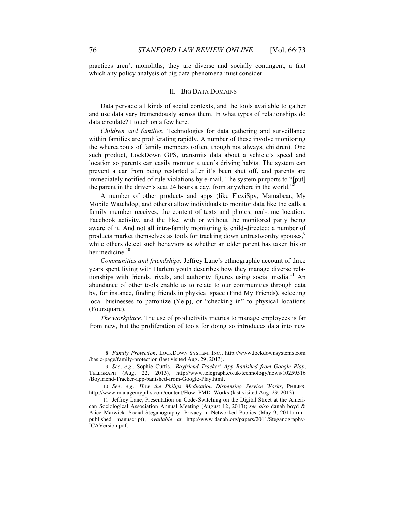practices aren't monoliths; they are diverse and socially contingent, a fact which any policy analysis of big data phenomena must consider.

#### II. BIG DATA DOMAINS

Data pervade all kinds of social contexts, and the tools available to gather and use data vary tremendously across them. In what types of relationships do data circulate? I touch on a few here.

*Children and families.* Technologies for data gathering and surveillance within families are proliferating rapidly. A number of these involve monitoring the whereabouts of family members (often, though not always, children). One such product, LockDown GPS, transmits data about a vehicle's speed and location so parents can easily monitor a teen's driving habits. The system can prevent a car from being restarted after it's been shut off, and parents are immediately notified of rule violations by e-mail. The system purports to "[put] the parent in the driver's seat 24 hours a day, from anywhere in the world."

A number of other products and apps (like FlexiSpy, Mamabear, My Mobile Watchdog, and others) allow individuals to monitor data like the calls a family member receives, the content of texts and photos, real-time location, Facebook activity, and the like, with or without the monitored party being aware of it. And not all intra-family monitoring is child-directed: a number of products market themselves as tools for tracking down untrustworthy spouses. while others detect such behaviors as whether an elder parent has taken his or her medicine.<sup>10</sup>

*Communities and friendships.* Jeffrey Lane's ethnographic account of three years spent living with Harlem youth describes how they manage diverse relationships with friends, rivals, and authority figures using social media.<sup>11</sup> An abundance of other tools enable us to relate to our communities through data by, for instance, finding friends in physical space (Find My Friends), selecting local businesses to patronize (Yelp), or "checking in" to physical locations (Foursquare).

*The workplace.* The use of productivity metrics to manage employees is far from new, but the proliferation of tools for doing so introduces data into new

<sup>8.</sup> *Family Protection,* LOCKDOWN SYSTEM, INC., http://www.lockdownsystems.com /basic-page/family-protection (last visited Aug. 29, 2013).

<sup>9.</sup> *See, e.g.*, Sophie Curtis, *'Boyfriend Tracker' App Banished from Google Play*, TELEGRAPH (Aug. 22, 2013), http://www.telegraph.co.uk/technology/news/10259516 /Boyfriend-Tracker-app-banished-from-Google-Play.html.

<sup>10.</sup> *See, e.g.*, *How the Philips Medication Dispensing Service Works*, PHILIPS, http://www.managemypills.com/content/How\_PMD\_Works (last visited Aug. 29, 2013).

<sup>11.</sup> Jeffrey Lane, Presentation on Code-Switching on the Digital Street at the American Sociological Association Annual Meeting (August 12, 2013); *see also* danah boyd & Alice Marwick, Social Steganography: Privacy in Networked Publics (May 9, 2011) (unpublished manuscript), *available at* http://www.danah.org/papers/2011/Steganography-ICAVersion.pdf.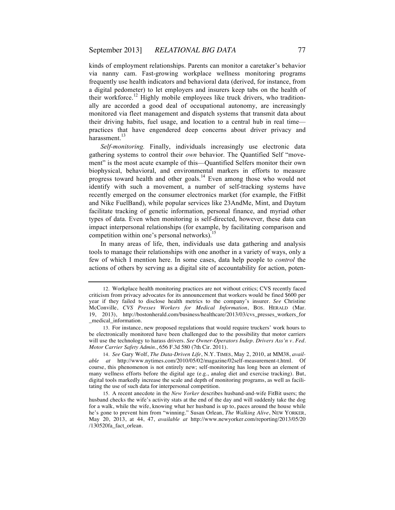kinds of employment relationships. Parents can monitor a caretaker's behavior via nanny cam. Fast-growing workplace wellness monitoring programs frequently use health indicators and behavioral data (derived, for instance, from a digital pedometer) to let employers and insurers keep tabs on the health of their workforce.<sup>12</sup> Highly mobile employees like truck drivers, who traditionally are accorded a good deal of occupational autonomy, are increasingly monitored via fleet management and dispatch systems that transmit data about their driving habits, fuel usage, and location to a central hub in real time practices that have engendered deep concerns about driver privacy and harassment. $^{13}$ 

*Self-monitoring.* Finally, individuals increasingly use electronic data gathering systems to control their *own* behavior. The Quantified Self "movement" is the most acute example of this—Quantified Selfers monitor their own biophysical, behavioral, and environmental markers in efforts to measure progress toward health and other goals.<sup>14</sup> Even among those who would not identify with such a movement, a number of self-tracking systems have recently emerged on the consumer electronics market (for example, the FitBit and Nike FuelBand), while popular services like 23AndMe, Mint, and Daytum facilitate tracking of genetic information, personal finance, and myriad other types of data. Even when monitoring is self-directed, however, these data can impact interpersonal relationships (for example, by facilitating comparison and competition within one's personal networks).<sup>15</sup>

In many areas of life, then, individuals use data gathering and analysis tools to manage their relationships with one another in a variety of ways, only a few of which I mention here. In some cases, data help people to *control* the actions of others by serving as a digital site of accountability for action, poten-

<sup>12.</sup> Workplace health monitoring practices are not without critics; CVS recently faced criticism from privacy advocates for its announcement that workers would be fined \$600 per year if they failed to disclose health metrics to the company's insurer. *See* Christine McConville, *CVS Presses Workers for Medical Information*, BOS. HERALD (Mar. 19, 2013), http://bostonherald.com/business/healthcare/2013/03/cvs\_presses\_workers\_for \_medical\_information.

<sup>13.</sup> For instance, new proposed regulations that would require truckers' work hours to be electronically monitored have been challenged due to the possibility that motor carriers will use the technology to harass drivers. *See Owner-Operators Indep. Drivers Ass'n v. Fed. Motor Carrier Safety Admin.*, 656 F.3d 580 (7th Cir. 2011).

<sup>14.</sup> *See* Gary Wolf, *The Data-Driven Life*, N.Y. TIMES, May 2, 2010, at MM38, *available at* http://www.nytimes.com/2010/05/02/magazine/02self-measurement-t.html. Of course, this phenomenon is not entirely new; self-monitoring has long been an element of many wellness efforts before the digital age (e.g., analog diet and exercise tracking). But, digital tools markedly increase the scale and depth of monitoring programs, as well as facilitating the use of such data for interpersonal competition.

<sup>15.</sup> A recent anecdote in the *New Yorker* describes husband-and-wife FitBit users; the husband checks the wife's activity stats at the end of the day and will suddenly take the dog for a walk, while the wife, knowing what her husband is up to, paces around the house while he's gone to prevent him from "winning." Susan Orlean, *The Walking Alive*, NEW YORKER, May 20, 2013, at 44, 47, *available at* http://www.newyorker.com/reporting/2013/05/20 /130520fa\_fact\_orlean.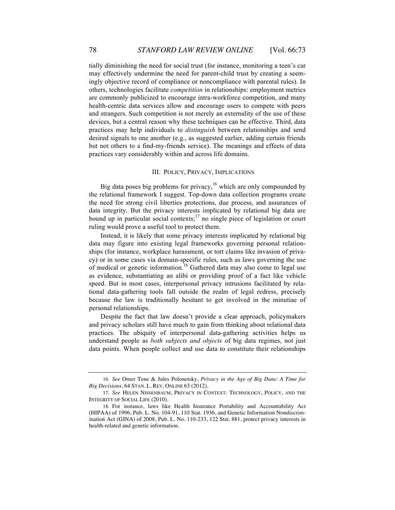tially diminishing the need for social trust (for instance, monitoring a teen's car may effectively undermine the need for parent-child trust by creating a seemingly objective record of compliance or noncompliance with parental rules). In others, technologies facilitate *competition* in relationships: employment metrics are commonly publicized to encourage intra-workforce competition, and many health-centric data services allow and encourage users to compete with peers and strangers. Such competition is not merely an externality of the use of these devices, but a central reason why these techniques can be effective. Third, data practices may help individuals to *distinguish* between relationships and send desired signals to one another (e.g., as suggested earlier, adding certain friends but not others to a find-my-friends service). The meanings and effects of data practices vary considerably within and across life domains.

### III. POLICY, PRIVACY, IMPLICATIONS

Big data poses big problems for privacy,<sup>16</sup> which are only compounded by the relational framework I suggest. Top-down data collection programs create the need for strong civil liberties protections, due process, and assurances of data integrity. But the privacy interests implicated by relational big data are bound up in particular social contexts;<sup>17</sup> no single piece of legislation or court ruling would prove a useful tool to protect them.

Instead, it is likely that some privacy interests implicated by relational big data may figure into existing legal frameworks governing personal relationships (for instance, workplace harassment, or tort claims like invasion of privacy) or in some cases via domain-specific rules, such as laws governing the use of medical or genetic information.<sup>18</sup> Gathered data may also come to legal use as evidence, substantiating an alibi or providing proof of a fact like vehicle speed. But in most cases, interpersonal privacy intrusions facilitated by relational data-gathering tools fall outside the realm of legal redress, precisely because the law is traditionally hesitant to get involved in the minutiae of personal relationships.

Despite the fact that law doesn't provide a clear approach, policymakers and privacy scholars still have much to gain from thinking about relational data practices. The ubiquity of interpersonal data-gathering activities helps us understand people as *both subjects and objects* of big data regimes, not just data points. When people collect and use data to constitute their relationships

<sup>16.</sup> *See* Omer Tene & Jules Polonetsky, *Privacy in the Age of Big Data: A Time for Big Decisions*, 64 STAN. L. REV. ONLINE 63 (2012).

<sup>17.</sup> *See* HELEN NISSENBAUM, PRIVACY IN CONTEXT: TECHNOLOGY, POLICY, AND THE INTEGRITY OF SOCIAL LIFE (2010).

<sup>18.</sup> For instance, laws like Health Insurance Portability and Accountability Act (HIPAA) of 1996, Pub. L. No. 104-91, 110 Stat. 1936, and Genetic Information Nondiscrimination Act (GINA) of 2008, Pub. L. No. 110-233, 122 Stat. 881, protect privacy interests in health-related and genetic information.